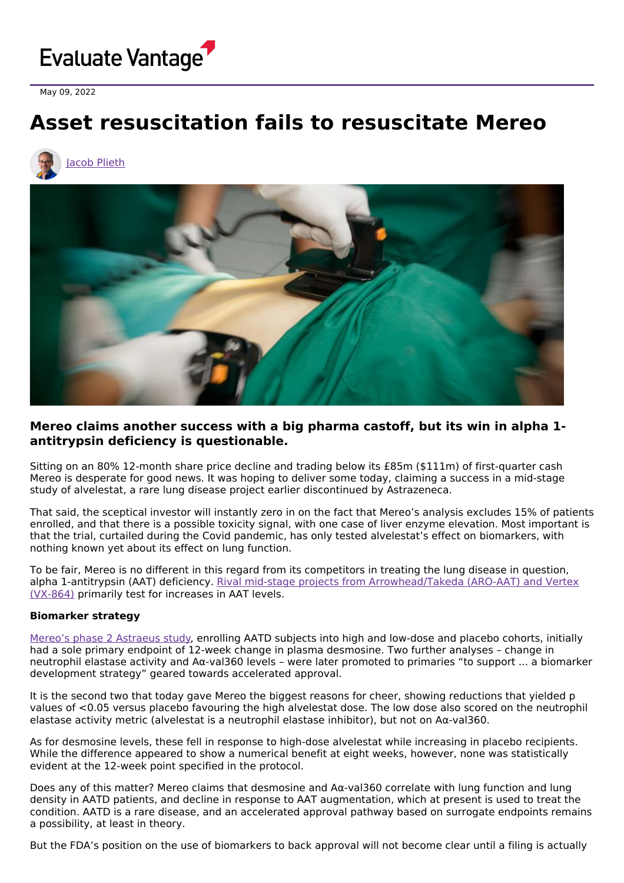

May 09, 2022

# **Asset resuscitation fails to resuscitate Mereo**





## **Mereo claims another success with a big pharma castoff, but its win in alpha 1 antitrypsin deficiency is questionable.**

Sitting on an 80% 12-month share price decline and trading below its £85m (\$111m) of first-quarter cash Mereo is desperate for good news. It was hoping to deliver some today, claiming a success in a mid-stage study of alvelestat, a rare lung disease project earlier discontinued by Astrazeneca.

That said, the sceptical investor will instantly zero in on the fact that Mereo's analysis excludes 15% of patients enrolled, and that there is a possible toxicity signal, with one case of liver enzyme elevation. Most important is that the trial, curtailed during the Covid pandemic, has only tested alvelestat's effect on biomarkers, with nothing known yet about its effect on lung function.

To be fair, Mereo is no different in this regard from its competitors in treating the lung disease in question, alpha 1-antitrypsin (AAT) deficiency. Rival mid-stage projects from [Arrowhead/Takeda](https://www.evaluate.com/vantage/articles/events/company-events/vertexs-second-try-rare-lung-disorder) (ARO-AAT) and Vertex (VX-864) primarily test for increases in AAT levels.

#### **Biomarker strategy**

Mereo's phase 2 [Astraeus](https://clinicaltrials.gov/ct2/show/NCT03636347) study, enrolling AATD subjects into high and low-dose and placebo cohorts, initially had a sole primary endpoint of 12-week change in plasma desmosine. Two further analyses – change in neutrophil elastase activity and Aα-val360 levels – were later promoted to primaries "to support ... a biomarker development strategy" geared towards accelerated approval.

It is the second two that today gave Mereo the biggest reasons for cheer, showing reductions that yielded p values of <0.05 versus placebo favouring the high alvelestat dose. The low dose also scored on the neutrophil elastase activity metric (alvelestat is a neutrophil elastase inhibitor), but not on Aα-val360.

As for desmosine levels, these fell in response to high-dose alvelestat while increasing in placebo recipients. While the difference appeared to show a numerical benefit at eight weeks, however, none was statistically evident at the 12-week point specified in the protocol.

Does any of this matter? Mereo claims that desmosine and Aα-val360 correlate with lung function and lung density in AATD patients, and decline in response to AAT augmentation, which at present is used to treat the condition. AATD is a rare disease, and an accelerated approval pathway based on surrogate endpoints remains a possibility, at least in theory.

But the FDA's position on the use of biomarkers to back approval will not become clear until a filing is actually